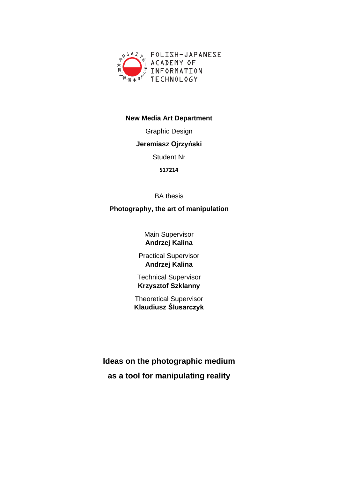

#### **New Media Art Department**

Graphic Design

#### **Jeremiasz Ojrzyński**

Student Nr

**S17214**

BA thesis

## **Photography, the art of manipulation**

Main Supervisor **Andrzej Kalina**

Practical Supervisor **Andrzej Kalina**

Technical Supervisor **Krzysztof Szklanny**

Theoretical Supervisor **Klaudiusz Ślusarczyk**

**Ideas on the photographic medium as a tool for manipulating reality**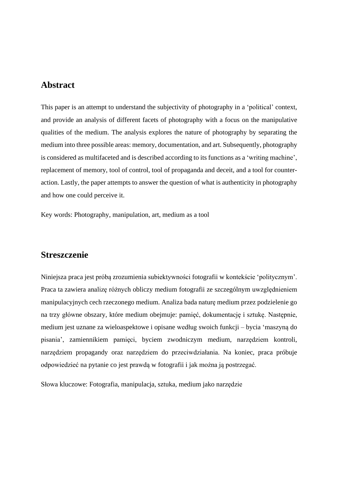## **Abstract**

This paper is an attempt to understand the subjectivity of photography in a 'political' context, and provide an analysis of different facets of photography with a focus on the manipulative qualities of the medium. The analysis explores the nature of photography by separating the medium into three possible areas: memory, documentation, and art. Subsequently, photography is considered as multifaceted and is described according to its functions as a 'writing machine', replacement of memory, tool of control, tool of propaganda and deceit, and a tool for counteraction. Lastly, the paper attempts to answer the question of what is authenticity in photography and how one could perceive it.

Key words: Photography, manipulation, art, medium as a tool

# **Streszczenie**

Niniejsza praca jest próbą zrozumienia subiektywności fotografii w kontekście 'politycznym'. Praca ta zawiera analizę różnych obliczy medium fotografii ze szczególnym uwzględnieniem manipulacyjnych cech rzeczonego medium. Analiza bada naturę medium przez podzielenie go na trzy główne obszary, które medium obejmuje: pamięć, dokumentację i sztukę. Następnie, medium jest uznane za wieloaspektowe i opisane według swoich funkcji – bycia 'maszyną do pisania', zamiennikiem pamięci, byciem zwodniczym medium, narzędziem kontroli, narzędziem propagandy oraz narzędziem do przeciwdziałania. Na koniec, praca próbuje odpowiedzieć na pytanie co jest prawdą w fotografii i jak można ją postrzegać.

Słowa kluczowe: Fotografia, manipulacja, sztuka, medium jako narzędzie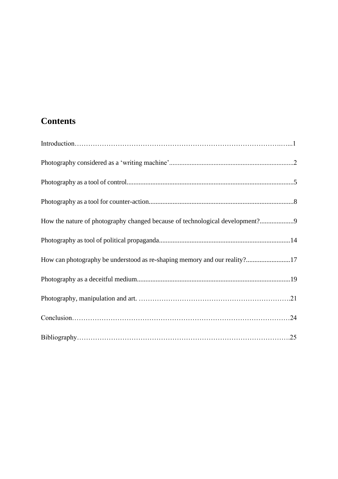# **Contents**

| How the nature of photography changed because of technological development?9 |
|------------------------------------------------------------------------------|
|                                                                              |
| How can photography be understood as re-shaping memory and our reality?17    |
|                                                                              |
|                                                                              |
|                                                                              |
|                                                                              |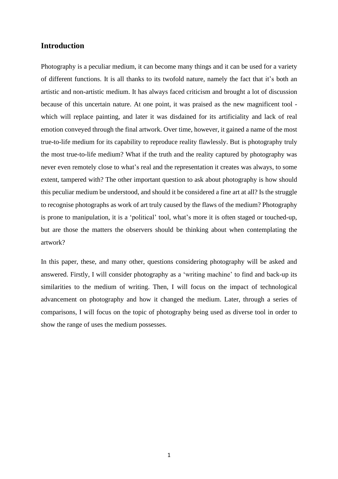#### **Introduction**

Photography is a peculiar medium, it can become many things and it can be used for a variety of different functions. It is all thanks to its twofold nature, namely the fact that it's both an artistic and non-artistic medium. It has always faced criticism and brought a lot of discussion because of this uncertain nature. At one point, it was praised as the new magnificent tool which will replace painting, and later it was disdained for its artificiality and lack of real emotion conveyed through the final artwork. Over time, however, it gained a name of the most true-to-life medium for its capability to reproduce reality flawlessly. But is photography truly the most true-to-life medium? What if the truth and the reality captured by photography was never even remotely close to what's real and the representation it creates was always, to some extent, tampered with? The other important question to ask about photography is how should this peculiar medium be understood, and should it be considered a fine art at all? Is the struggle to recognise photographs as work of art truly caused by the flaws of the medium? Photography is prone to manipulation, it is a 'political' tool, what's more it is often staged or touched-up, but are those the matters the observers should be thinking about when contemplating the artwork?

In this paper, these, and many other, questions considering photography will be asked and answered. Firstly, I will consider photography as a 'writing machine' to find and back-up its similarities to the medium of writing. Then, I will focus on the impact of technological advancement on photography and how it changed the medium. Later, through a series of comparisons, I will focus on the topic of photography being used as diverse tool in order to show the range of uses the medium possesses.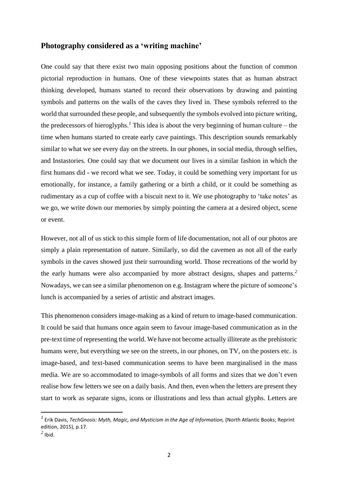#### **Photography considered as a 'writing machine'**

One could say that there exist two main opposing positions about the function of common pictorial reproduction in humans. One of these viewpoints states that as human abstract thinking developed, humans started to record their observations by drawing and painting symbols and patterns on the walls of the caves they lived in. These symbols referred to the world that surrounded these people, and subsequently the symbols evolved into picture writing, the predecessors of hieroglyphs.<sup> $1$ </sup> This idea is about the very beginning of human culture – the time when humans started to create early cave paintings. This description sounds remarkably similar to what we see every day on the streets. In our phones, in social media, through selfies, and Instastories*.* One could say that we document our lives in a similar fashion in which the first humans did - we record what we see. Today, it could be something very important for us emotionally, for instance, a family gathering or a birth a child, or it could be something as rudimentary as a cup of coffee with a biscuit next to it. We use photography to 'take notes' as we go, we write down our memories by simply pointing the camera at a desired object, scene or event.

However, not all of us stick to this simple form of life documentation, not all of our photos are simply a plain representation of nature. Similarly, so did the cavemen as not all of the early symbols in the caves showed just their surrounding world. Those recreations of the world by the early humans were also accompanied by more abstract designs, shapes and patterns.*<sup>2</sup>* Nowadays, we can see a similar phenomenon on e.g. Instagram where the picture of someone's lunch is accompanied by a series of artistic and abstract images.

This phenomenon considers image-making as a kind of return to image-based communication. It could be said that humans once again seem to favour image-based communication as in the pre-text time of representing the world. We have not become actually illiterate asthe prehistoric humans were, but everything we see on the streets, in our phones, on TV, on the posters etc. is image-based, and text-based communication seems to have been marginalised in the mass media. We are so accommodated to image-symbols of all forms and sizes that we don't even realise how few letters we see on a daily basis. And then, even when the letters are present they start to work as separate signs, icons or illustrations and less than actual glyphs. Letters are

*<sup>1</sup>* Erik Davis, *TechGnosis: Myth, Magic, and Mysticism in the Age of Information,* (North Atlantic Books; Reprint edition, 2015), p.17.

 $<sup>2</sup>$  Ibid.</sup>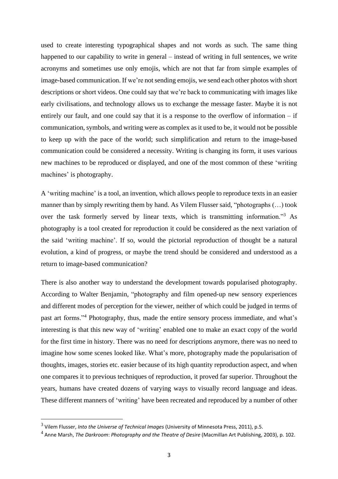used to create interesting typographical shapes and not words as such. The same thing happened to our capability to write in general – instead of writing in full sentences, we write acronyms and sometimes use only emojis, which are not that far from simple examples of image-based communication. If we're not sending emojis, we send each other photos with short descriptions or short videos. One could say that we're back to communicating with images like early civilisations, and technology allows us to exchange the message faster. Maybe it is not entirely our fault, and one could say that it is a response to the overflow of information – if communication, symbols, and writing were as complex as it used to be, it would not be possible to keep up with the pace of the world; such simplification and return to the image-based communication could be considered a necessity. Writing is changing its form, it uses various new machines to be reproduced or displayed, and one of the most common of these 'writing machines' is photography.

A 'writing machine' is a tool, an invention, which allows people to reproduce texts in an easier manner than by simply rewriting them by hand. As Vilem Flusser said, "photographs (…) took over the task formerly served by linear texts, which is transmitting information."<sup>3</sup> As photography is a tool created for reproduction it could be considered as the next variation of the said 'writing machine'. If so, would the pictorial reproduction of thought be a natural evolution, a kind of progress, or maybe the trend should be considered and understood as a return to image-based communication?

There is also another way to understand the development towards popularised photography. According to Walter Benjamin, "photography and film opened-up new sensory experiences and different modes of perception for the viewer, neither of which could be judged in terms of past art forms."<sup>4</sup> Photography, thus, made the entire sensory process immediate, and what's interesting is that this new way of 'writing' enabled one to make an exact copy of the world for the first time in history. There was no need for descriptions anymore, there was no need to imagine how some scenes looked like. What's more, photography made the popularisation of thoughts, images, stories etc. easier because of its high quantity reproduction aspect, and when one compares it to previous techniques of reproduction, it proved far superior. Throughout the years, humans have created dozens of varying ways to visually record language and ideas. These different manners of 'writing' have been recreated and reproduced by a number of other

<sup>3</sup> Vilem Flusser, *Into the Universe of Technical Images* (University of Minnesota Press, 2011), p.5.

<sup>4</sup> Anne Marsh, *The Darkroom*: *Photography and the Theatre of Desire* (Macmillan Art Publishing, 2003), p. 102.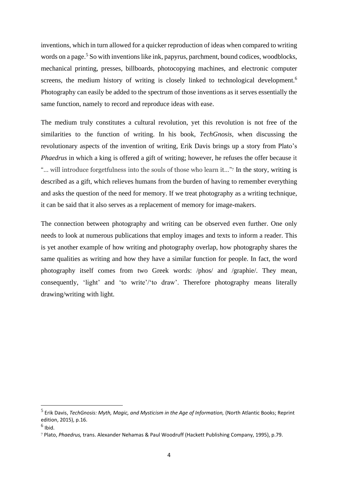inventions, which in turn allowed for a quicker reproduction of ideas when compared to writing words on a page.<sup>5</sup> So with inventions like ink, papyrus, parchment, bound codices, woodblocks, mechanical printing, presses, billboards, photocopying machines, and electronic computer screens, the medium history of writing is closely linked to technological development.<sup>6</sup> Photography can easily be added to the spectrum of those inventions as it serves essentially the same function, namely to record and reproduce ideas with ease.

The medium truly constitutes a cultural revolution, yet this revolution is not free of the similarities to the function of writing. In his book, *TechGnosis*, when discussing the revolutionary aspects of the invention of writing, Erik Davis brings up a story from Plato's *Phaedrus* in which a king is offered a gift of writing; however, he refuses the offer because it "… will introduce forgetfulness into the souls of those who learn it…"<sup>7</sup> In the story, writing is described as a gift, which relieves humans from the burden of having to remember everything and asks the question of the need for memory. If we treat photography as a writing technique, it can be said that it also serves as a replacement of memory for image-makers.

The connection between photography and writing can be observed even further. One only needs to look at numerous publications that employ images and texts to inform a reader. This is yet another example of how writing and photography overlap, how photography shares the same qualities as writing and how they have a similar function for people. In fact, the word photography itself comes from two Greek words: /phos/ and /graphie/. They mean, consequently, 'light' and 'to write'/'to draw'. Therefore photography means literally drawing/writing with light.

<sup>5</sup> Erik Davis, *TechGnosis: Myth, Magic, and Mysticism in the Age of Information,* (North Atlantic Books; Reprint edition, 2015), p.16.

 $^6$  Ibid.

<sup>7</sup> Plato, *Phaedrus,* trans. Alexander Nehamas & Paul Woodruff (Hackett Publishing Company, 1995), p.79.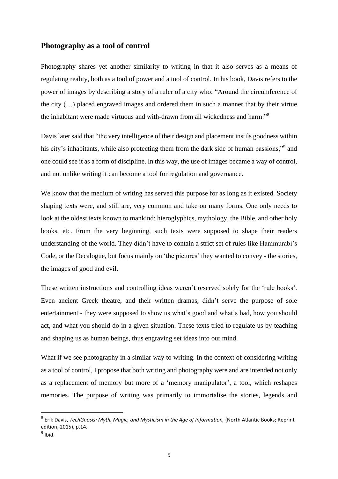#### **Photography as a tool of control**

Photography shares yet another similarity to writing in that it also serves as a means of regulating reality, both as a tool of power and a tool of control. In his book, Davis refers to the power of images by describing a story of a ruler of a city who: "Around the circumference of the city (…) placed engraved images and ordered them in such a manner that by their virtue the inhabitant were made virtuous and with-drawn from all wickedness and harm."<sup>8</sup>

Davis later said that "the very intelligence of their design and placement instils goodness within his city's inhabitants, while also protecting them from the dark side of human passions,"<sup>9</sup> and one could see it as a form of discipline. In this way, the use of images became a way of control, and not unlike writing it can become a tool for regulation and governance.

We know that the medium of writing has served this purpose for as long as it existed. Society shaping texts were, and still are, very common and take on many forms. One only needs to look at the oldest texts known to mankind: hieroglyphics, mythology, the Bible, and other holy books, etc. From the very beginning, such texts were supposed to shape their readers understanding of the world. They didn't have to contain a strict set of rules like Hammurabi's Code, or the Decalogue, but focus mainly on 'the pictures' they wanted to convey - the stories, the images of good and evil.

These written instructions and controlling ideas weren't reserved solely for the 'rule books'. Even ancient Greek theatre, and their written dramas, didn't serve the purpose of sole entertainment - they were supposed to show us what's good and what's bad, how you should act, and what you should do in a given situation. These texts tried to regulate us by teaching and shaping us as human beings, thus engraving set ideas into our mind.

What if we see photography in a similar way to writing. In the context of considering writing as a tool of control, I propose that both writing and photography were and are intended not only as a replacement of memory but more of a 'memory manipulator', a tool, which reshapes memories. The purpose of writing was primarily to immortalise the stories, legends and

<sup>8</sup> Erik Davis, *TechGnosis: Myth, Magic, and Mysticism in the Age of Information,* (North Atlantic Books; Reprint edition, 2015), p.14.

 $^9$  Ibid.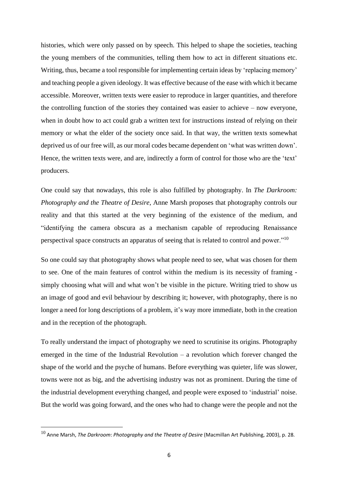histories, which were only passed on by speech. This helped to shape the societies, teaching the young members of the communities, telling them how to act in different situations etc. Writing, thus, became a tool responsible for implementing certain ideas by 'replacing memory' and teaching people a given ideology. It was effective because of the ease with which it became accessible. Moreover, written texts were easier to reproduce in larger quantities, and therefore the controlling function of the stories they contained was easier to achieve – now everyone, when in doubt how to act could grab a written text for instructions instead of relying on their memory or what the elder of the society once said. In that way, the written texts somewhat deprived us of our free will, as our moral codes became dependent on 'what was written down'. Hence, the written texts were, and are, indirectly a form of control for those who are the 'text' producers.

One could say that nowadays, this role is also fulfilled by photography. In *The Darkroom: Photography and the Theatre of Desire*, Anne Marsh proposes that photography controls our reality and that this started at the very beginning of the existence of the medium, and "identifying the camera obscura as a mechanism capable of reproducing Renaissance perspectival space constructs an apparatus of seeing that is related to control and power."<sup>10</sup>

So one could say that photography shows what people need to see, what was chosen for them to see. One of the main features of control within the medium is its necessity of framing simply choosing what will and what won't be visible in the picture. Writing tried to show us an image of good and evil behaviour by describing it; however, with photography, there is no longer a need for long descriptions of a problem, it's way more immediate, both in the creation and in the reception of the photograph.

To really understand the impact of photography we need to scrutinise its origins. Photography emerged in the time of the Industrial Revolution – a revolution which forever changed the shape of the world and the psyche of humans. Before everything was quieter, life was slower, towns were not as big, and the advertising industry was not as prominent. During the time of the industrial development everything changed, and people were exposed to 'industrial' noise. But the world was going forward, and the ones who had to change were the people and not the

<sup>10</sup> Anne Marsh, *The Darkroom*: *Photography and the Theatre of Desire* (Macmillan Art Publishing, 2003), p. 28.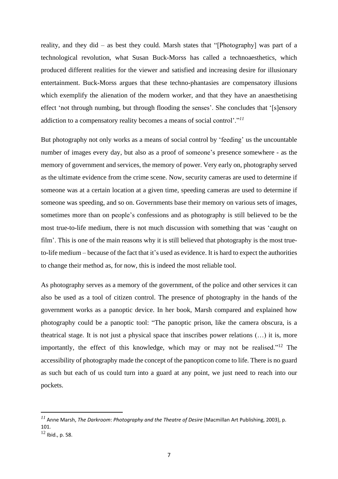reality, and they did – as best they could. Marsh states that "[Photography] was part of a technological revolution, what Susan Buck-Morss has called a technoaesthetics, which produced different realities for the viewer and satisfied and increasing desire for illusionary entertainment. Buck-Morss argues that these techno-phantasies are compensatory illusions which exemplify the alienation of the modern worker, and that they have an anaesthetising effect 'not through numbing, but through flooding the senses'. She concludes that '[s]ensory addiction to a compensatory reality becomes a means of social control'."*<sup>11</sup>*

But photography not only works as a means of social control by 'feeding' us the uncountable number of images every day, but also as a proof of someone's presence somewhere - as the memory of government and services, the memory of power. Very early on, photography served as the ultimate evidence from the crime scene. Now, security cameras are used to determine if someone was at a certain location at a given time, speeding cameras are used to determine if someone was speeding, and so on. Governments base their memory on various sets of images, sometimes more than on people's confessions and as photography is still believed to be the most true-to-life medium, there is not much discussion with something that was 'caught on film'. This is one of the main reasons why it is still believed that photography is the most trueto-life medium – because of the fact that it's used as evidence. It is hard to expect the authorities to change their method as, for now, this is indeed the most reliable tool.

As photography serves as a memory of the government, of the police and other services it can also be used as a tool of citizen control. The presence of photography in the hands of the government works as a panoptic device. In her book, Marsh compared and explained how photography could be a panoptic tool: "The panoptic prison, like the camera obscura, is a theatrical stage. It is not just a physical space that inscribes power relations (…) it is, more importantly, the effect of this knowledge, which may or may not be realised."<sup>12</sup> The accessibility of photography made the concept of the panopticon come to life. There is no guard as such but each of us could turn into a guard at any point, we just need to reach into our pockets.

*<sup>11</sup>* Anne Marsh, *The Darkroom*: *Photography and the Theatre of Desire* (Macmillan Art Publishing, 2003), p. 101.

<sup>12</sup> Ibid., p. 58.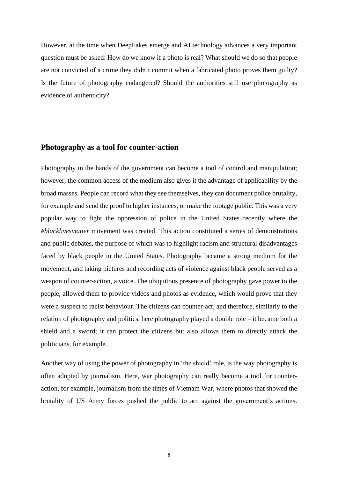However, at the time when DeepFakes emerge and AI technology advances a very important question must be asked: How do we know if a photo is real? What should we do so that people are not convicted of a crime they didn't commit when a fabricated photo proves them guilty? Is the future of photography endangered? Should the authorities still use photography as evidence of authenticity?

#### **Photography as a tool for counter-action**

Photography in the hands of the government can become a tool of control and manipulation; however, the common access of the medium also gives it the advantage of applicability by the broad masses. People can record what they see themselves, they can document police brutality, for example and send the proof to higher instances, or make the footage public. This was a very popular way to fight the oppression of police in the United States recently where the *#blacklivesmatter* movement was created. This action constituted a series of demonstrations and public debates, the purpose of which was to highlight racism and structural disadvantages faced by black people in the United States. Photography became a strong medium for the movement, and taking pictures and recording acts of violence against black people served as a weapon of counter-action, a voice. The ubiquitous presence of photography gave power to the people, allowed them to provide videos and photos as evidence, which would prove that they were a suspect to racist behaviour. The citizens can counter-act, and therefore, similarly to the relation of photography and politics, here photography played a double role – it became both a shield and a sword; it can protect the citizens but also allows them to directly attack the politicians, for example.

Another way of using the power of photography in 'the shield' role, is the way photography is often adopted by journalism. Here, war photography can really become a tool for counteraction, for example, journalism from the times of Vietnam War, where photos that showed the brutality of US Army forces pushed the public to act against the government's actions.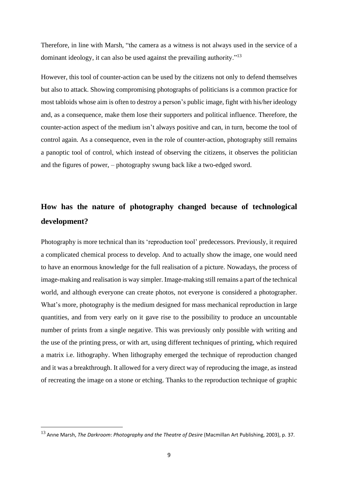Therefore, in line with Marsh, "the camera as a witness is not always used in the service of a dominant ideology, it can also be used against the prevailing authority."<sup>13</sup>

However, this tool of counter-action can be used by the citizens not only to defend themselves but also to attack. Showing compromising photographs of politicians is a common practice for most tabloids whose aim is often to destroy a person's public image, fight with his/her ideology and, as a consequence, make them lose their supporters and political influence. Therefore, the counter-action aspect of the medium isn't always positive and can, in turn, become the tool of control again. As a consequence, even in the role of counter-action, photography still remains a panoptic tool of control, which instead of observing the citizens, it observes the politician and the figures of power, – photography swung back like a two-edged sword.

# **How has the nature of photography changed because of technological development?**

Photography is more technical than its 'reproduction tool' predecessors. Previously, it required a complicated chemical process to develop. And to actually show the image, one would need to have an enormous knowledge for the full realisation of a picture. Nowadays, the process of image-making and realisation is way simpler. Image-making still remains a part of the technical world, and although everyone can create photos, not everyone is considered a photographer. What's more, photography is the medium designed for mass mechanical reproduction in large quantities, and from very early on it gave rise to the possibility to produce an uncountable number of prints from a single negative. This was previously only possible with writing and the use of the printing press, or with art, using different techniques of printing, which required a matrix i.e. lithography. When lithography emerged the technique of reproduction changed and it was a breakthrough. It allowed for a very direct way of reproducing the image, as instead of recreating the image on a stone or etching. Thanks to the reproduction technique of graphic

<sup>13</sup> Anne Marsh, *The Darkroom*: *Photography and the Theatre of Desire* (Macmillan Art Publishing, 2003), p. 37.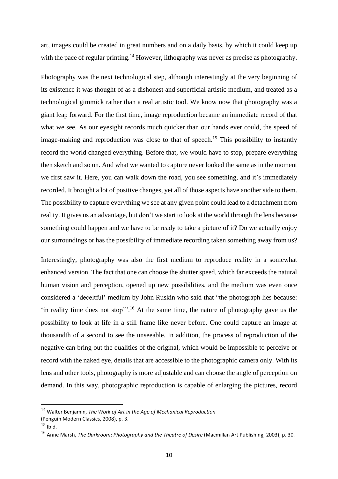art, images could be created in great numbers and on a daily basis, by which it could keep up with the pace of regular printing.<sup>14</sup> However, lithography was never as precise as photography.

Photography was the next technological step, although interestingly at the very beginning of its existence it was thought of as a dishonest and superficial artistic medium, and treated as a technological gimmick rather than a real artistic tool. We know now that photography was a giant leap forward. For the first time, image reproduction became an immediate record of that what we see. As our eyesight records much quicker than our hands ever could, the speed of image-making and reproduction was close to that of speech.<sup>15</sup> This possibility to instantly record the world changed everything. Before that, we would have to stop, prepare everything then sketch and so on. And what we wanted to capture never looked the same as in the moment we first saw it. Here, you can walk down the road, you see something, and it's immediately recorded. It brought a lot of positive changes, yet all of those aspects have another side to them. The possibility to capture everything we see at any given point could lead to a detachment from reality. It gives us an advantage, but don't we start to look at the world through the lens because something could happen and we have to be ready to take a picture of it? Do we actually enjoy our surroundings or has the possibility of immediate recording taken something away from us?

Interestingly, photography was also the first medium to reproduce reality in a somewhat enhanced version. The fact that one can choose the shutter speed, which far exceeds the natural human vision and perception, opened up new possibilities, and the medium was even once considered a 'deceitful' medium by John Ruskin who said that "the photograph lies because: 'in reality time does not stop'".<sup>16</sup> At the same time, the nature of photography gave us the possibility to look at life in a still frame like never before. One could capture an image at thousandth of a second to see the unseeable. In addition, the process of reproduction of the negative can bring out the qualities of the original, which would be impossible to perceive or record with the naked eye, details that are accessible to the photographic camera only. With its lens and other tools, photography is more adjustable and can choose the angle of perception on demand. In this way, photographic reproduction is capable of enlarging the pictures, record

<sup>14</sup> Walter Benjamin, *The Work of Art in the Age of Mechanical Reproduction*

<sup>(</sup>Penguin Modern Classics, 2008), p. 3.

 $15$  Ibid.

<sup>16</sup> Anne Marsh, *The Darkroom*: *Photography and the Theatre of Desire* (Macmillan Art Publishing, 2003), p. 30.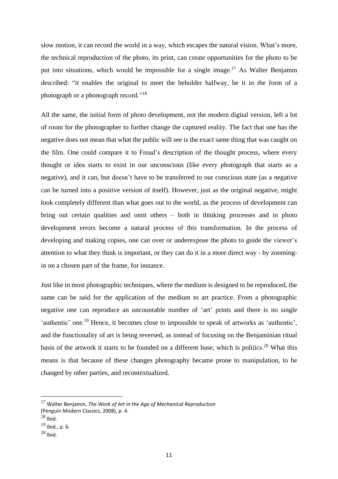slow motion, it can record the world in a way, which escapes the natural vision. What's more, the technical reproduction of the photo, its print, can create opportunities for the photo to be put into situations, which would be impossible for a single image.<sup>17</sup> As Walter Benjamin described: "it enables the original to meet the beholder halfway, be it in the form of a photograph or a phonograph record."<sup>18</sup>

All the same, the initial form of photo development, not the modern digital version, left a lot of room for the photographer to further change the captured reality. The fact that one has the negative does not mean that what the public will see is the exact same thing that was caught on the film. One could compare it to Freud's description of the thought process, where every thought or idea starts to exist in our unconscious (like every photograph that starts as a negative), and it can, but doesn't have to be transferred to our conscious state (as a negative can be turned into a positive version of itself). However, just as the original negative, might look completely different than what goes out to the world, as the process of development can bring out certain qualities and omit others – both in thinking processes and in photo development errors become a natural process of this transformation. In the process of developing and making copies, one can over or underexpose the photo to guide the viewer's attention to what they think is important, or they can do it in a more direct way - by zoomingin on a chosen part of the frame, for instance.

Just like in most photographic techniques, where the medium is designed to be reproduced, the same can be said for the application of the medium to art practice. From a photographic negative one can reproduce an uncountable number of 'art' prints and there is no single 'authentic' one.<sup>19</sup> Hence, it becomes close to impossible to speak of artworks as 'authentic', and the functionality of art is being reversed, as instead of focusing on the Benjaminian ritual basis of the artwork it starts to be founded on a different base, which is politics.<sup>20</sup> What this means is that because of these changes photography became prone to manipulation, to be changed by other parties, and recontextualized.

<sup>17</sup> Walter Benjamin, *The Work of Art in the Age of Mechanical Reproduction* (Penguin Modern Classics, 2008), p. 4.

 $18$  Ibid.

<sup>19</sup> Ibid., p. 6.

 $^{20}$  Ibid.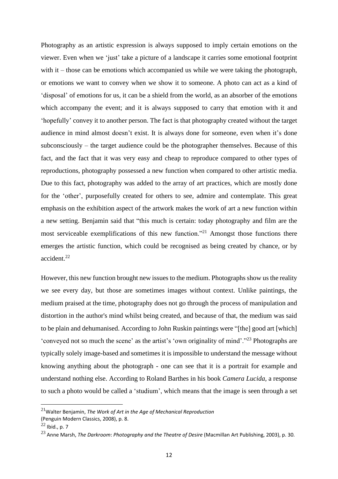Photography as an artistic expression is always supposed to imply certain emotions on the viewer. Even when we 'just' take a picture of a landscape it carries some emotional footprint with it – those can be emotions which accompanied us while we were taking the photograph, or emotions we want to convey when we show it to someone. A photo can act as a kind of 'disposal' of emotions for us, it can be a shield from the world, as an absorber of the emotions which accompany the event; and it is always supposed to carry that emotion with it and 'hopefully' convey it to another person. The fact is that photography created without the target audience in mind almost doesn't exist. It is always done for someone, even when it's done subconsciously – the target audience could be the photographer themselves. Because of this fact, and the fact that it was very easy and cheap to reproduce compared to other types of reproductions, photography possessed a new function when compared to other artistic media. Due to this fact, photography was added to the array of art practices, which are mostly done for the 'other', purposefully created for others to see, admire and contemplate. This great emphasis on the exhibition aspect of the artwork makes the work of art a new function within a new setting. Benjamin said that "this much is certain: today photography and film are the most serviceable exemplifications of this new function."<sup>21</sup> Amongst those functions there emerges the artistic function, which could be recognised as being created by chance, or by accident.<sup>22</sup>

However, this new function brought new issues to the medium. Photographs show us the reality we see every day, but those are sometimes images without context. Unlike paintings, the medium praised at the time, photography does not go through the process of manipulation and distortion in the author's mind whilst being created, and because of that, the medium was said to be plain and dehumanised. According to John Ruskin paintings were "[the] good art [which] 'conveyed not so much the scene' as the artist's 'own originality of mind'."<sup>23</sup> Photographs are typically solely image-based and sometimes it is impossible to understand the message without knowing anything about the photograph - one can see that it is a portrait for example and understand nothing else. According to Roland Barthes in his book *Camera Lucida,* a response to such a photo would be called a 'studium', which means that the image is seen through a set

<sup>21</sup>Walter Benjamin, *The Work of Art in the Age of Mechanical Reproduction*

<sup>(</sup>Penguin Modern Classics, 2008), p. 8.

 $22$  Ibid., p. 7

<sup>23</sup> Anne Marsh, *The Darkroom*: *Photography and the Theatre of Desire* (Macmillan Art Publishing, 2003), p. 30.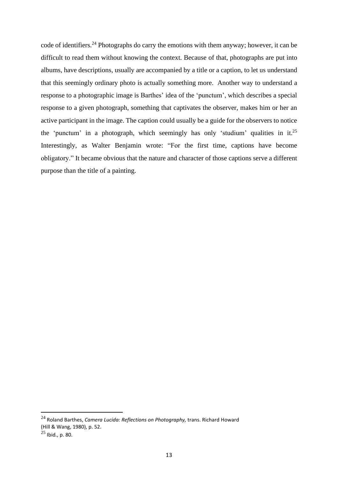code of identifiers.<sup>24</sup> Photographs do carry the emotions with them anyway; however, it can be difficult to read them without knowing the context. Because of that, photographs are put into albums, have descriptions, usually are accompanied by a title or a caption, to let us understand that this seemingly ordinary photo is actually something more. Another way to understand a response to a photographic image is Barthes' idea of the 'punctum', which describes a special response to a given photograph, something that captivates the observer, makes him or her an active participant in the image. The caption could usually be a guide for the observers to notice the 'punctum' in a photograph, which seemingly has only 'studium' qualities in it.<sup>25</sup> Interestingly, as Walter Benjamin wrote: "For the first time, captions have become obligatory." It became obvious that the nature and character of those captions serve a different purpose than the title of a painting.

<sup>24</sup> Roland Barthes, *Camera Lucida: Reflections on Photography,* trans. Richard Howard (Hill & Wang, 1980), p. 52.

 $^{25}$  Ibid., p. 80.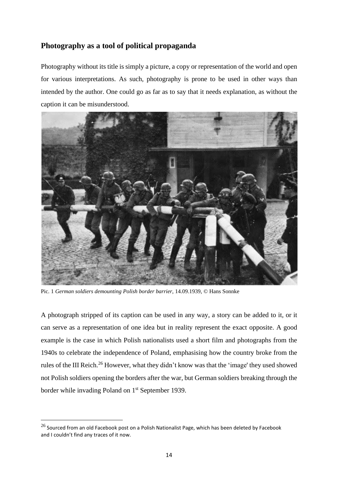# **Photography as a tool of political propaganda**

Photography without its title is simply a picture, a copy or representation of the world and open for various interpretations. As such, photography is prone to be used in other ways than intended by the author. One could go as far as to say that it needs explanation, as without the caption it can be misunderstood.



Pic. 1 *German soldiers demounting Polish border barrier*, 14.09.1939, © Hans Sonnke

A photograph stripped of its caption can be used in any way, a story can be added to it, or it can serve as a representation of one idea but in reality represent the exact opposite. A good example is the case in which Polish nationalists used a short film and photographs from the 1940s to celebrate the independence of Poland, emphasising how the country broke from the rules of the III Reich.<sup>26</sup> However, what they didn't know was that the 'image' they used showed not Polish soldiers opening the borders after the war, but German soldiers breaking through the border while invading Poland on 1<sup>st</sup> September 1939.

 $^{26}$  Sourced from an old Facebook post on a Polish Nationalist Page, which has been deleted by Facebook and I couldn't find any traces of it now.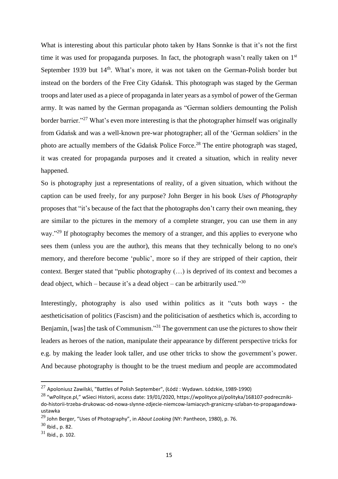What is interesting about this particular photo taken by Hans Sonnke is that it's not the first time it was used for propaganda purposes. In fact, the photograph wasn't really taken on 1<sup>st</sup> September 1939 but 14<sup>th</sup>. What's more, it was not taken on the German-Polish border but instead on the borders of the Free City Gdańsk. This photograph was staged by the German troops and later used as a piece of propaganda in later years as a symbol of power of the German army. It was named by the German propaganda as "German soldiers demounting the Polish border barrier."<sup>27</sup> What's even more interesting is that the photographer himself was originally from Gdańsk and was a well-known pre-war photographer; all of the 'German soldiers' in the photo are actually members of the Gdańsk Police Force.<sup>28</sup> The entire photograph was staged, it was created for propaganda purposes and it created a situation, which in reality never happened.

So is photography just a representations of reality, of a given situation, which without the caption can be used freely, for any purpose? John Berger in his book *Uses of Photography* proposes that "it's because of the fact that the photographs don't carry their own meaning, they are similar to the pictures in the memory of a complete stranger, you can use them in any way."<sup>29</sup> If photography becomes the memory of a stranger, and this applies to everyone who sees them (unless you are the author), this means that they technically belong to no one's memory, and therefore become 'public', more so if they are stripped of their caption, their context. Berger stated that "public photography (…) is deprived of its context and becomes a dead object, which – because it's a dead object – can be arbitrarily used."<sup>30</sup>

Interestingly, photography is also used within politics as it "cuts both ways - the aestheticisation of politics (Fascism) and the politicisation of aesthetics which is, according to Benjamin, [was] the task of Communism."<sup>31</sup> The government can use the pictures to show their leaders as heroes of the nation, manipulate their appearance by different perspective tricks for e.g. by making the leader look taller, and use other tricks to show the government's power. And because photography is thought to be the truest medium and people are accommodated

<sup>&</sup>lt;sup>27</sup> Apoloniusz Zawilski, "Battles of Polish September", (Łódź : Wydawn. Łódzkie, 1989-1990)

<sup>28</sup> "wPolityce.pl," wSieci Historii, access date: 19/01/2020, https://wpolityce.pl/polityka/168107-podrecznikido-historii-trzeba-drukowac-od-nowa-slynne-zdjecie-niemcow-lamiacych-graniczny-szlaban-to-propagandowaustawka

<sup>29</sup> John Berger, "Uses of Photography", in *About Looking* (NY: Pantheon, 1980), p. 76.

 $30$  Ibid., p. 82.

 $31$  Ibid., p. 102.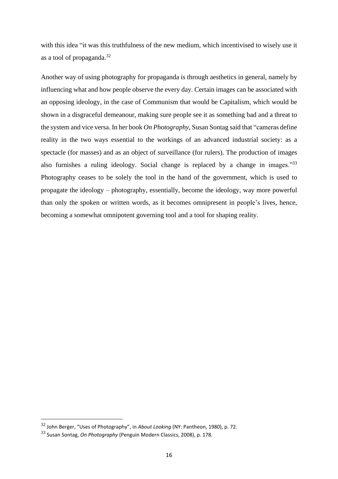with this idea "it was this truthfulness of the new medium, which incentivised to wisely use it as a tool of propaganda.<sup>32</sup>

Another way of using photography for propaganda is through aesthetics in general, namely by influencing what and how people observe the every day. Certain images can be associated with an opposing ideology, in the case of Communism that would be Capitalism, which would be shown in a disgraceful demeanour, making sure people see it as something bad and a threat to the system and vice versa. In her book *On Photography*, Susan Sontag said that "cameras define reality in the two ways essential to the workings of an advanced industrial society: as a spectacle (for masses) and as an object of surveillance (for rulers). The production of images also furnishes a ruling ideology. Social change is replaced by a change in images."<sup>33</sup> Photography ceases to be solely the tool in the hand of the government, which is used to propagate the ideology – photography, essentially, become the ideology, way more powerful than only the spoken or written words, as it becomes omnipresent in people's lives, hence, becoming a somewhat omnipotent governing tool and a tool for shaping reality.

<sup>32</sup> John Berger, "Uses of Photography", in *About Looking* (NY: Pantheon, 1980), p. 72.

<sup>33</sup> Susan Sontag, *On Photography* (Penguin Modern Classics, 2008), p. 178.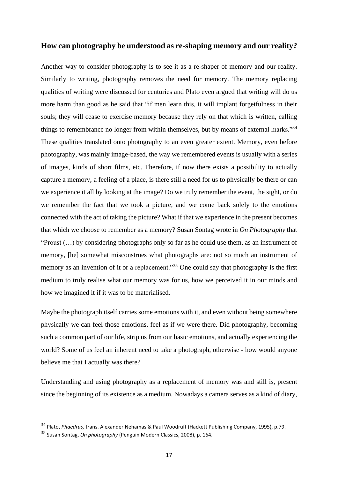#### **How can photography be understood as re-shaping memory and our reality?**

Another way to consider photography is to see it as a re-shaper of memory and our reality. Similarly to writing, photography removes the need for memory. The memory replacing qualities of writing were discussed for centuries and Plato even argued that writing will do us more harm than good as he said that "if men learn this, it will implant forgetfulness in their souls; they will cease to exercise memory because they rely on that which is written, calling things to remembrance no longer from within themselves, but by means of external marks."<sup>34</sup> These qualities translated onto photography to an even greater extent. Memory, even before photography, was mainly image-based, the way we remembered events is usually with a series of images, kinds of short films, etc. Therefore, if now there exists a possibility to actually capture a memory, a feeling of a place, is there still a need for us to physically be there or can we experience it all by looking at the image? Do we truly remember the event, the sight, or do we remember the fact that we took a picture, and we come back solely to the emotions connected with the act of taking the picture? What if that we experience in the present becomes that which we choose to remember as a memory? Susan Sontag wrote in *On Photography* that "Proust  $(...)$  by considering photographs only so far as he could use them, as an instrument of memory, [he] somewhat misconstrues what photographs are: not so much an instrument of memory as an invention of it or a replacement."<sup>35</sup> One could say that photography is the first medium to truly realise what our memory was for us, how we perceived it in our minds and how we imagined it if it was to be materialised.

Maybe the photograph itself carries some emotions with it, and even without being somewhere physically we can feel those emotions, feel as if we were there. Did photography, becoming such a common part of our life, strip us from our basic emotions, and actually experiencing the world? Some of us feel an inherent need to take a photograph, otherwise - how would anyone believe me that I actually was there?

Understanding and using photography as a replacement of memory was and still is, present since the beginning of its existence as a medium. Nowadays a camera serves as a kind of diary,

<sup>34</sup> Plato, *Phaedrus,* trans. Alexander Nehamas & Paul Woodruff (Hackett Publishing Company, 1995), p.79.

<sup>35</sup> Susan Sontag, *On photography* (Penguin Modern Classics, 2008), p. 164.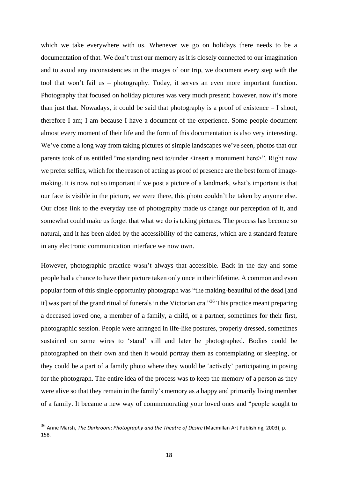which we take everywhere with us. Whenever we go on holidays there needs to be a documentation of that. We don't trust our memory as it is closely connected to our imagination and to avoid any inconsistencies in the images of our trip, we document every step with the tool that won't fail us – photography. Today, it serves an even more important function. Photography that focused on holiday pictures was very much present; however, now it's more than just that. Nowadays, it could be said that photography is a proof of existence – I shoot, therefore I am; I am because I have a document of the experience. Some people document almost every moment of their life and the form of this documentation is also very interesting. We've come a long way from taking pictures of simple landscapes we've seen, photos that our parents took of us entitled "me standing next to/under <insert a monument here>". Right now we prefer selfies, which for the reason of acting as proof of presence are the best form of imagemaking. It is now not so important if we post a picture of a landmark, what's important is that our face is visible in the picture, we were there, this photo couldn't be taken by anyone else. Our close link to the everyday use of photography made us change our perception of it, and somewhat could make us forget that what we do is taking pictures. The process has become so natural, and it has been aided by the accessibility of the cameras, which are a standard feature in any electronic communication interface we now own.

However, photographic practice wasn't always that accessible. Back in the day and some people had a chance to have their picture taken only once in their lifetime. A common and even popular form of this single opportunity photograph was "the making-beautiful of the dead [and it] was part of the grand ritual of funerals in the Victorian era."<sup>36</sup> This practice meant preparing a deceased loved one, a member of a family, a child, or a partner, sometimes for their first, photographic session. People were arranged in life-like postures, properly dressed, sometimes sustained on some wires to 'stand' still and later be photographed. Bodies could be photographed on their own and then it would portray them as contemplating or sleeping, or they could be a part of a family photo where they would be 'actively' participating in posing for the photograph. The entire idea of the process was to keep the memory of a person as they were alive so that they remain in the family's memory as a happy and primarily living member of a family. It became a new way of commemorating your loved ones and "people sought to

<sup>36</sup> Anne Marsh, *The Darkroom*: *Photography and the Theatre of Desire* (Macmillan Art Publishing, 2003), p. 158.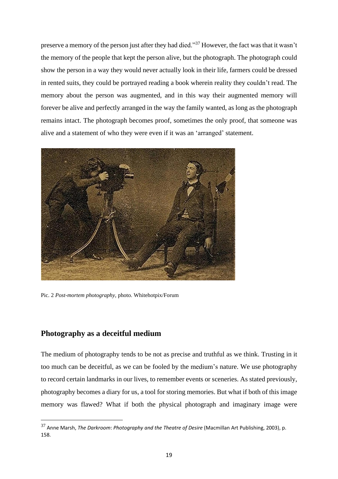preserve a memory of the person just after they had died."<sup>37</sup> However, the fact wasthat it wasn't the memory of the people that kept the person alive, but the photograph. The photograph could show the person in a way they would never actually look in their life, farmers could be dressed in rented suits, they could be portrayed reading a book wherein reality they couldn't read. The memory about the person was augmented, and in this way their augmented memory will forever be alive and perfectly arranged in the way the family wanted, as long as the photograph remains intact. The photograph becomes proof, sometimes the only proof, that someone was alive and a statement of who they were even if it was an 'arranged' statement.



Pic. 2 *Post-mortem photography,* photo. Whitehotpix/Forum

### **Photography as a deceitful medium**

The medium of photography tends to be not as precise and truthful as we think. Trusting in it too much can be deceitful, as we can be fooled by the medium's nature. We use photography to record certain landmarks in our lives, to remember events or sceneries. As stated previously, photography becomes a diary for us, a tool for storing memories. But what if both of this image memory was flawed? What if both the physical photograph and imaginary image were

<sup>37</sup> Anne Marsh, *The Darkroom*: *Photography and the Theatre of Desire* (Macmillan Art Publishing, 2003), p. 158.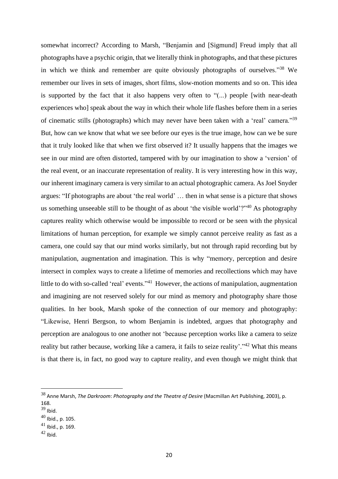somewhat incorrect? According to Marsh, "Benjamin and [Sigmund] Freud imply that all photographs have a psychic origin, that we literally think in photographs, and that these pictures in which we think and remember are quite obviously photographs of ourselves."<sup>38</sup> We remember our lives in sets of images, short films, slow-motion moments and so on. This idea is supported by the fact that it also happens very often to "(...) people [with near-death experiences who] speak about the way in which their whole life flashes before them in a series of cinematic stills (photographs) which may never have been taken with a 'real' camera."<sup>39</sup> But, how can we know that what we see before our eyes is the true image, how can we be sure that it truly looked like that when we first observed it? It usually happens that the images we see in our mind are often distorted, tampered with by our imagination to show a 'version' of the real event, or an inaccurate representation of reality. It is very interesting how in this way, our inherent imaginary camera is very similar to an actual photographic camera. As Joel Snyder argues: "If photographs are about 'the real world' … then in what sense is a picture that shows us something unseeable still to be thought of as about 'the visible world'?"<sup>40</sup> As photography captures reality which otherwise would be impossible to record or be seen with the physical limitations of human perception, for example we simply cannot perceive reality as fast as a camera, one could say that our mind works similarly, but not through rapid recording but by manipulation, augmentation and imagination. This is why "memory, perception and desire intersect in complex ways to create a lifetime of memories and recollections which may have little to do with so-called 'real' events."<sup>41</sup> However, the actions of manipulation, augmentation and imagining are not reserved solely for our mind as memory and photography share those qualities. In her book, Marsh spoke of the connection of our memory and photography: "Likewise, Henri Bergson, to whom Benjamin is indebted, argues that photography and perception are analogous to one another not 'because perception works like a camera to seize reality but rather because, working like a camera, it fails to seize reality'."<sup>42</sup> What this means is that there is, in fact, no good way to capture reality, and even though we might think that

<sup>38</sup> Anne Marsh, *The Darkroom*: *Photography and the Theatre of Desire* (Macmillan Art Publishing, 2003), p. 168.

 $39$  Ibid.

 $^{40}$  Ibid., p. 105.

 $41$  Ibid., p. 169.

 $42$  Ibid.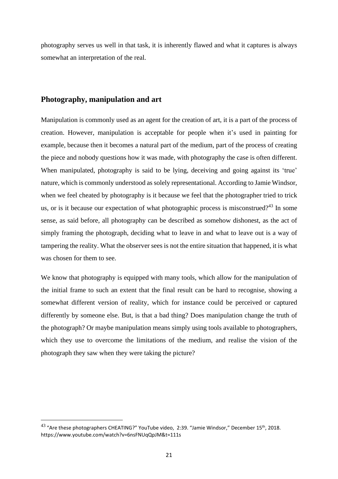photography serves us well in that task, it is inherently flawed and what it captures is always somewhat an interpretation of the real.

#### **Photography, manipulation and art**

Manipulation is commonly used as an agent for the creation of art, it is a part of the process of creation. However, manipulation is acceptable for people when it's used in painting for example, because then it becomes a natural part of the medium, part of the process of creating the piece and nobody questions how it was made, with photography the case is often different. When manipulated, photography is said to be lying, deceiving and going against its 'true' nature, which is commonly understood as solely representational. According to Jamie Windsor, when we feel cheated by photography is it because we feel that the photographer tried to trick us, or is it because our expectation of what photographic process is misconstrued?<sup>43</sup> In some sense, as said before, all photography can be described as somehow dishonest, as the act of simply framing the photograph, deciding what to leave in and what to leave out is a way of tampering the reality. What the observer sees is not the entire situation that happened, it is what was chosen for them to see.

We know that photography is equipped with many tools, which allow for the manipulation of the initial frame to such an extent that the final result can be hard to recognise, showing a somewhat different version of reality, which for instance could be perceived or captured differently by someone else. But, is that a bad thing? Does manipulation change the truth of the photograph? Or maybe manipulation means simply using tools available to photographers, which they use to overcome the limitations of the medium, and realise the vision of the photograph they saw when they were taking the picture?

 $^{43}$  "Are these photographers CHEATING?" YouTube video, 2:39. "Jamie Windsor," December 15<sup>th</sup>, 2018. https://www.youtube.com/watch?v=6nsFNUqQpJM&t=111s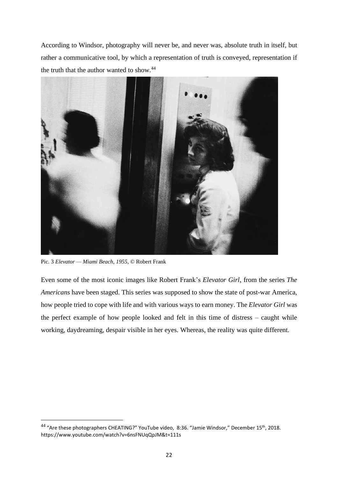According to Windsor, photography will never be, and never was, absolute truth in itself, but rather a communicative tool, by which a representation of truth is conveyed, representation if the truth that the author wanted to show.<sup>44</sup>



Pic. 3 *Elevator — Miami Beach, 1955*, © Robert Frank

Even some of the most iconic images like Robert Frank's *Elevator Girl*, from the series *The Americans* have been staged. This series was supposed to show the state of post-war America, how people tried to cope with life and with various ways to earn money. The *Elevator Girl* was the perfect example of how people looked and felt in this time of distress – caught while working, daydreaming, despair visible in her eyes. Whereas, the reality was quite different.

<sup>&</sup>lt;sup>44</sup> "Are these photographers CHEATING?" YouTube video, 8:36. "Jamie Windsor," December 15<sup>th</sup>, 2018. https://www.youtube.com/watch?v=6nsFNUqQpJM&t=111s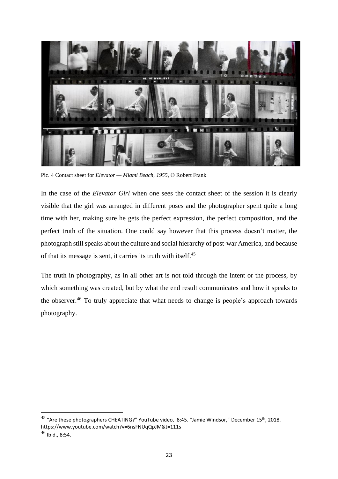

Pic. 4 Contact sheet for *Elevator — Miami Beach, 1955*, © Robert Frank

In the case of the *Elevator Girl* when one sees the contact sheet of the session it is clearly visible that the girl was arranged in different poses and the photographer spent quite a long time with her, making sure he gets the perfect expression, the perfect composition, and the perfect truth of the situation. One could say however that this process doesn't matter, the photograph still speaks about the culture and social hierarchy of post-war America, and because of that its message is sent, it carries its truth with itself.<sup>45</sup>

The truth in photography, as in all other art is not told through the intent or the process, by which something was created, but by what the end result communicates and how it speaks to the observer.<sup>46</sup> To truly appreciate that what needs to change is people's approach towards photography.

<sup>&</sup>lt;sup>45</sup> "Are these photographers CHEATING?" YouTube video, 8:45. "Jamie Windsor," December 15<sup>th</sup>, 2018. https://www.youtube.com/watch?v=6nsFNUqQpJM&t=111s

 $46$  Ibid., 8:54.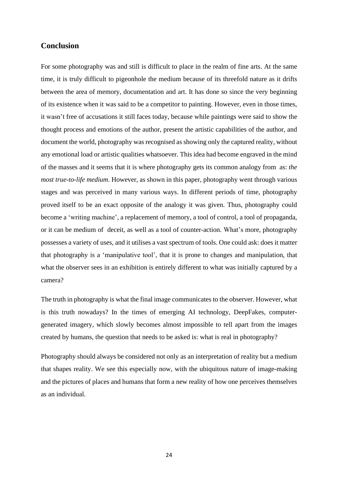#### **Conclusion**

For some photography was and still is difficult to place in the realm of fine arts. At the same time, it is truly difficult to pigeonhole the medium because of its threefold nature as it drifts between the area of memory, documentation and art. It has done so since the very beginning of its existence when it was said to be a competitor to painting. However, even in those times, it wasn't free of accusations it still faces today, because while paintings were said to show the thought process and emotions of the author, present the artistic capabilities of the author, and document the world, photography was recognised as showing only the captured reality, without any emotional load or artistic qualities whatsoever. This idea had become engraved in the mind of the masses and it seems that it is where photography gets its common analogy from as: *the most true-to-life medium*. However, as shown in this paper, photography went through various stages and was perceived in many various ways. In different periods of time, photography proved itself to be an exact opposite of the analogy it was given. Thus, photography could become a 'writing machine', a replacement of memory, a tool of control, a tool of propaganda, or it can be medium of deceit, as well as a tool of counter-action. What's more, photography possesses a variety of uses, and it utilises a vast spectrum of tools. One could ask: does it matter that photography is a 'manipulative tool', that it is prone to changes and manipulation, that what the observer sees in an exhibition is entirely different to what was initially captured by a camera?

The truth in photography is what the final image communicates to the observer. However, what is this truth nowadays? In the times of emerging AI technology, DeepFakes, computergenerated imagery, which slowly becomes almost impossible to tell apart from the images created by humans, the question that needs to be asked is: what is real in photography?

Photography should always be considered not only as an interpretation of reality but a medium that shapes reality. We see this especially now, with the ubiquitous nature of image-making and the pictures of places and humans that form a new reality of how one perceives themselves as an individual.